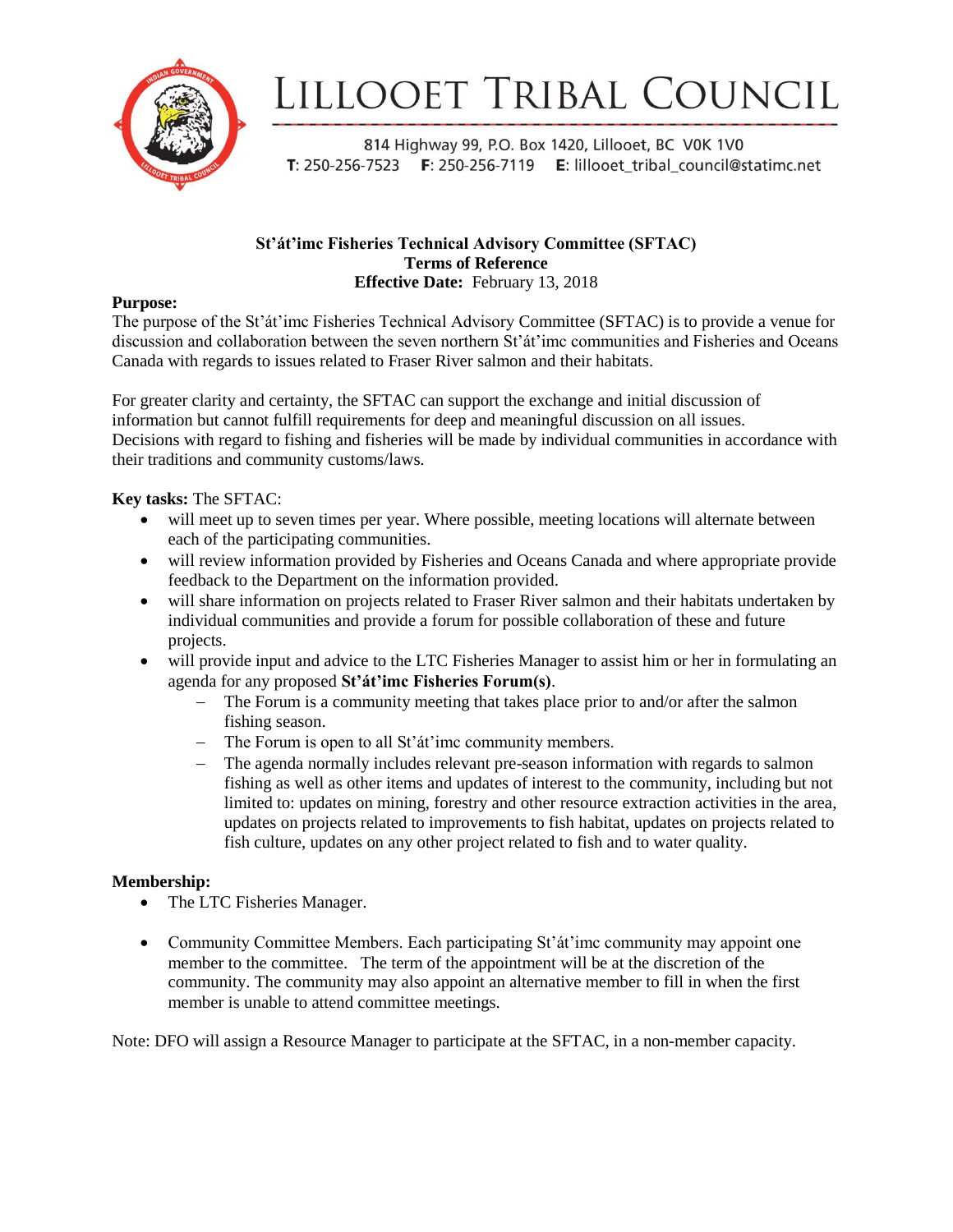

# LILLOOET TRIBAL COUNCIL

814 Highway 99, P.O. Box 1420, Lillooet, BC V0K 1V0 T: 250-256-7523 F: 250-256-7119 E: lillooet\_tribal\_council@statimc.net

#### **St'át'imc Fisheries Technical Advisory Committee (SFTAC) Terms of Reference Effective Date:** February 13, 2018

#### **Purpose:**

The purpose of the St'át'imc Fisheries Technical Advisory Committee (SFTAC) is to provide a venue for discussion and collaboration between the seven northern St'át'imc communities and Fisheries and Oceans Canada with regards to issues related to Fraser River salmon and their habitats.

For greater clarity and certainty, the SFTAC can support the exchange and initial discussion of information but cannot fulfill requirements for deep and meaningful discussion on all issues. Decisions with regard to fishing and fisheries will be made by individual communities in accordance with their traditions and community customs/laws.

#### **Key tasks:** The SFTAC:

- will meet up to seven times per year. Where possible, meeting locations will alternate between each of the participating communities.
- will review information provided by Fisheries and Oceans Canada and where appropriate provide feedback to the Department on the information provided.
- will share information on projects related to Fraser River salmon and their habitats undertaken by individual communities and provide a forum for possible collaboration of these and future projects.
- will provide input and advice to the LTC Fisheries Manager to assist him or her in formulating an agenda for any proposed **St'át'imc Fisheries Forum(s)**.
	- The Forum is a community meeting that takes place prior to and/or after the salmon fishing season.
	- The Forum is open to all St'at'imc community members.
	- The agenda normally includes relevant pre-season information with regards to salmon fishing as well as other items and updates of interest to the community, including but not limited to: updates on mining, forestry and other resource extraction activities in the area, updates on projects related to improvements to fish habitat, updates on projects related to fish culture, updates on any other project related to fish and to water quality.

#### **Membership:**

- The LTC Fisheries Manager.
- Community Committee Members. Each participating St'at'imc community may appoint one member to the committee. The term of the appointment will be at the discretion of the community. The community may also appoint an alternative member to fill in when the first member is unable to attend committee meetings.

Note: DFO will assign a Resource Manager to participate at the SFTAC, in a non-member capacity.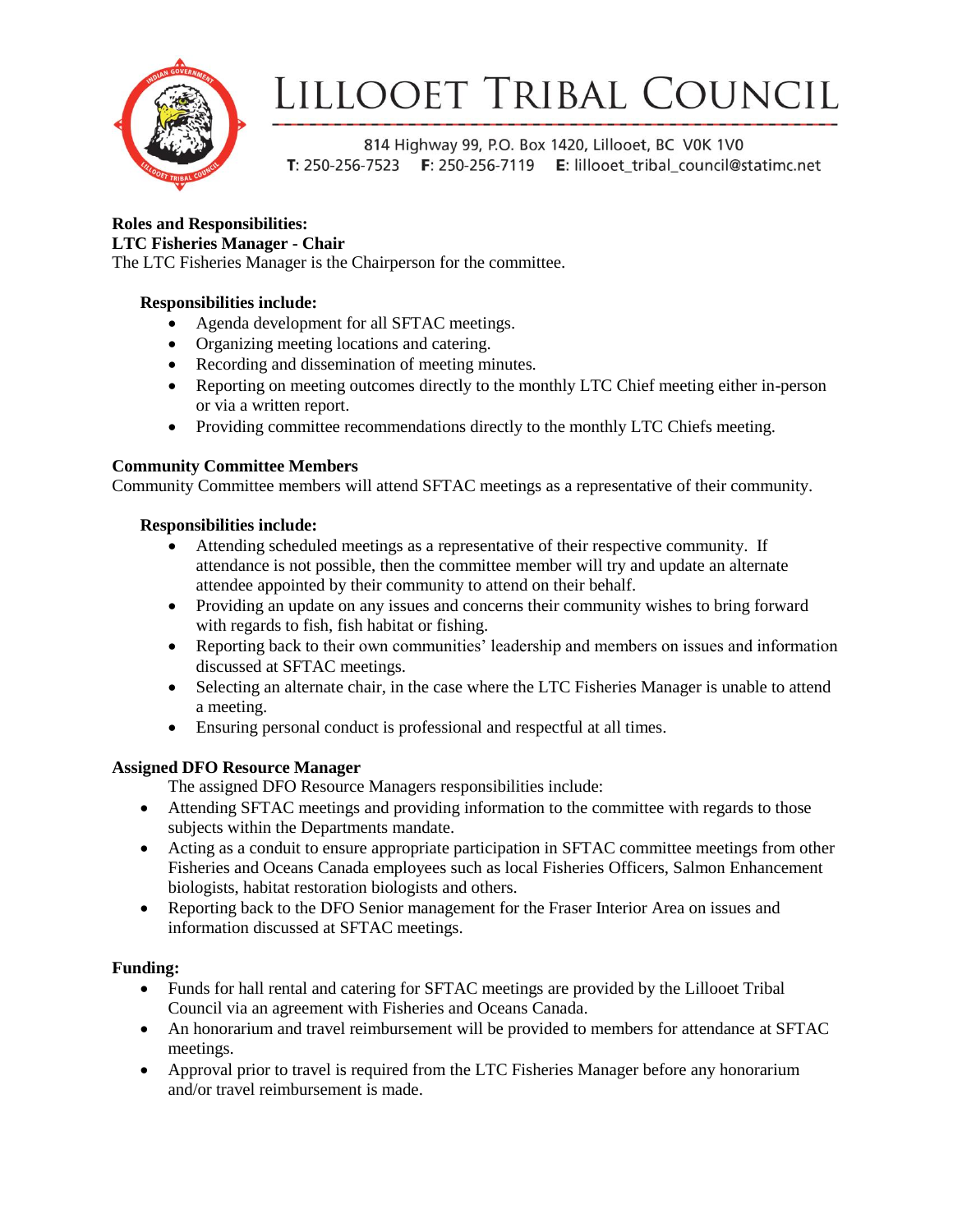

# LILLOOET TRIBAL COUNCIL

814 Highway 99, P.O. Box 1420, Lillooet, BC V0K 1V0 T: 250-256-7523 F: 250-256-7119 E: lillooet\_tribal\_council@statimc.net

## **Roles and Responsibilities:**

#### **LTC Fisheries Manager - Chair**

The LTC Fisheries Manager is the Chairperson for the committee.

### **Responsibilities include:**

- Agenda development for all SFTAC meetings.
- Organizing meeting locations and catering.
- Recording and dissemination of meeting minutes.
- Reporting on meeting outcomes directly to the monthly LTC Chief meeting either in-person or via a written report.
- Providing committee recommendations directly to the monthly LTC Chiefs meeting.

### **Community Committee Members**

Community Committee members will attend SFTAC meetings as a representative of their community.

### **Responsibilities include:**

- Attending scheduled meetings as a representative of their respective community. If attendance is not possible, then the committee member will try and update an alternate attendee appointed by their community to attend on their behalf.
- Providing an update on any issues and concerns their community wishes to bring forward with regards to fish, fish habitat or fishing.
- Reporting back to their own communities' leadership and members on issues and information discussed at SFTAC meetings.
- Selecting an alternate chair, in the case where the LTC Fisheries Manager is unable to attend a meeting.
- Ensuring personal conduct is professional and respectful at all times.

## **Assigned DFO Resource Manager**

The assigned DFO Resource Managers responsibilities include:

- Attending SFTAC meetings and providing information to the committee with regards to those subjects within the Departments mandate.
- Acting as a conduit to ensure appropriate participation in SFTAC committee meetings from other Fisheries and Oceans Canada employees such as local Fisheries Officers, Salmon Enhancement biologists, habitat restoration biologists and others.
- Reporting back to the DFO Senior management for the Fraser Interior Area on issues and information discussed at SFTAC meetings.

## **Funding:**

- Funds for hall rental and catering for SFTAC meetings are provided by the Lillooet Tribal Council via an agreement with Fisheries and Oceans Canada.
- An honorarium and travel reimbursement will be provided to members for attendance at SFTAC meetings.
- Approval prior to travel is required from the LTC Fisheries Manager before any honorarium and/or travel reimbursement is made.